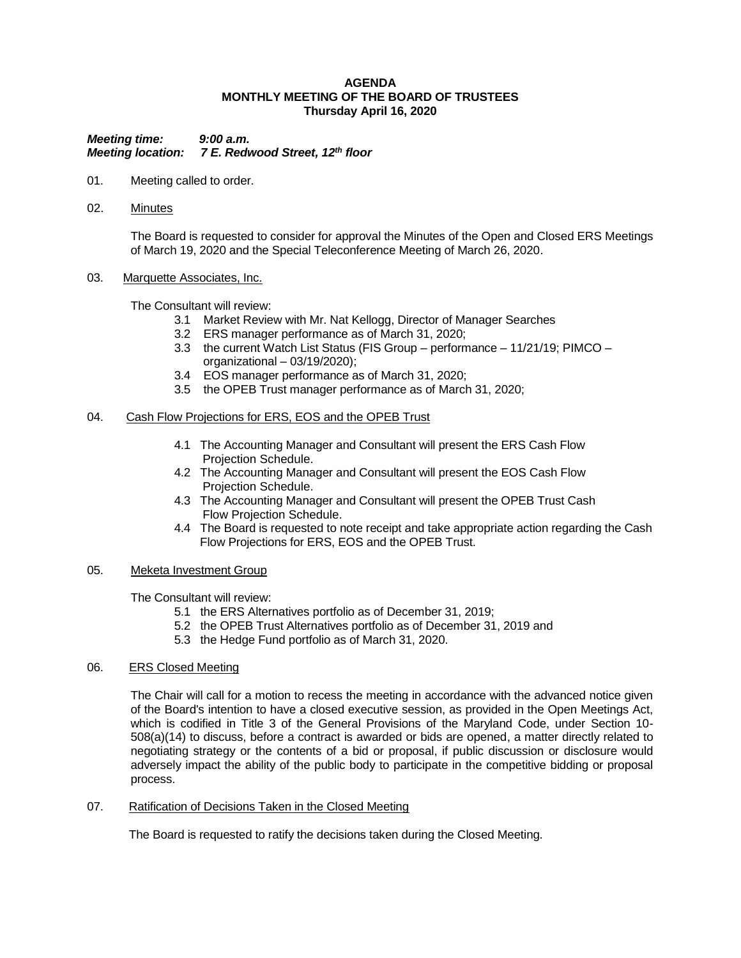### **AGENDA MONTHLY MEETING OF THE BOARD OF TRUSTEES Thursday April 16, 2020**

*Meeting time: 9:00 a.m. Meeting location: 7 E. Redwood Street, 12th floor*

- 01. Meeting called to order.
- 02. Minutes

The Board is requested to consider for approval the Minutes of the Open and Closed ERS Meetings of March 19, 2020 and the Special Teleconference Meeting of March 26, 2020.

#### 03. Marquette Associates, Inc.

The Consultant will review:

- 3.1 Market Review with Mr. Nat Kellogg, Director of Manager Searches
- 3.2 ERS manager performance as of March 31, 2020;
- 3.3 the current Watch List Status (FIS Group performance 11/21/19; PIMCO organizational – 03/19/2020);
- 3.4 EOS manager performance as of March 31, 2020;
- 3.5 the OPEB Trust manager performance as of March 31, 2020;

#### 04. Cash Flow Projections for ERS, EOS and the OPEB Trust

- 4.1 The Accounting Manager and Consultant will present the ERS Cash Flow Projection Schedule.
- 4.2 The Accounting Manager and Consultant will present the EOS Cash Flow Projection Schedule.
- 4.3 The Accounting Manager and Consultant will present the OPEB Trust Cash Flow Projection Schedule.
- 4.4 The Board is requested to note receipt and take appropriate action regarding the Cash Flow Projections for ERS, EOS and the OPEB Trust.

## 05. Meketa Investment Group

The Consultant will review:

- 5.1 the ERS Alternatives portfolio as of December 31, 2019;
- 5.2 the OPEB Trust Alternatives portfolio as of December 31, 2019 and
- 5.3 the Hedge Fund portfolio as of March 31, 2020.

# 06. ERS Closed Meeting

The Chair will call for a motion to recess the meeting in accordance with the advanced notice given of the Board's intention to have a closed executive session, as provided in the Open Meetings Act, which is codified in Title 3 of the General Provisions of the Maryland Code, under Section 10- 508(a)(14) to discuss, before a contract is awarded or bids are opened, a matter directly related to negotiating strategy or the contents of a bid or proposal, if public discussion or disclosure would adversely impact the ability of the public body to participate in the competitive bidding or proposal process.

07. Ratification of Decisions Taken in the Closed Meeting

The Board is requested to ratify the decisions taken during the Closed Meeting.